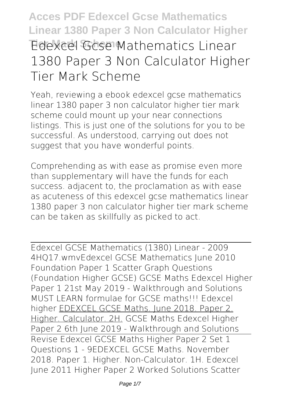# **Acces PDF Edexcel Gcse Mathematics Linear 1380 Paper 3 Non Calculator Higher Tier Mark Scheme Edexcel Gcse Mathematics Linear 1380 Paper 3 Non Calculator Higher Tier Mark Scheme**

Yeah, reviewing a ebook **edexcel gcse mathematics linear 1380 paper 3 non calculator higher tier mark scheme** could mount up your near connections listings. This is just one of the solutions for you to be successful. As understood, carrying out does not suggest that you have wonderful points.

Comprehending as with ease as promise even more than supplementary will have the funds for each success. adjacent to, the proclamation as with ease as acuteness of this edexcel gcse mathematics linear 1380 paper 3 non calculator higher tier mark scheme can be taken as skillfully as picked to act.

Edexcel GCSE Mathematics (1380) Linear - 2009 4HQ17.wmv**Edexcel GCSE Mathematics June 2010 Foundation Paper 1 Scatter Graph Questions (Foundation Higher GCSE)** GCSE Maths Edexcel Higher Paper 1 21st May 2019 - Walkthrough and Solutions *MUST LEARN formulae for GCSE maths!!! Edexcel higher* EDEXCEL GCSE Maths. June 2018. Paper 2. Higher. Calculator. 2H. **GCSE Maths Edexcel Higher Paper 2 6th June 2019 - Walkthrough and Solutions** Revise Edexcel GCSE Maths Higher Paper 2 Set 1 Questions 1 - 9*EDEXCEL GCSE Maths. November 2018. Paper 1. Higher. Non-Calculator. 1H. Edexcel June 2011 Higher Paper 2 Worked Solutions Scatter*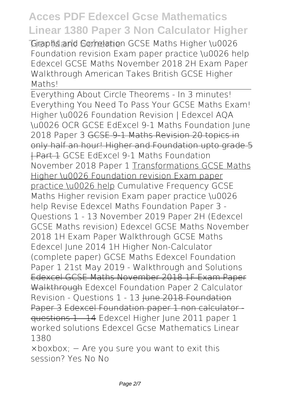Graphs and Correlation GCSE Maths Higher \u0026 *Foundation revision Exam paper practice \u0026 help Edexcel GCSE Maths November 2018 2H Exam Paper Walkthrough American Takes British GCSE Higher Maths!*

Everything About Circle Theorems - In 3 minutes! *Everything You Need To Pass Your GCSE Maths Exam! Higher \u0026 Foundation Revision | Edexcel AQA \u0026 OCR GCSE EdExcel 9-1 Maths Foundation June 2018 Paper 3* GCSE 9-1 Maths Revision 20 topics in only half an hour! Higher and Foundation upto grade 5 **+ Part 1 GCSE EdExcel 9-1 Maths Foundation** November 2018 Paper 1 Transformations GCSE Maths Higher \u0026 Foundation revision Exam paper practice \u0026 help Cumulative Frequency GCSE Maths Higher revision Exam paper practice \u0026 help **Revise Edexcel Maths Foundation Paper 3 - Questions 1 - 13** *November 2019 Paper 2H (Edexcel GCSE Maths revision) Edexcel GCSE Maths November 2018 1H Exam Paper Walkthrough GCSE Maths Edexcel June 2014 1H Higher Non-Calculator (complete paper) GCSE Maths Edexcel Foundation Paper 1 21st May 2019 - Walkthrough and Solutions* Edexcel GCSE Maths November 2018 1F Exam Paper Walkthrough Edexcel Foundation Paper 2 Calculator Revision - Questions 1 - 13 Hune 2018 Foundation Paper 3 Edexcel Foundation paper 1 non calculator questions 1 - 14 *Edexcel Higher June 2011 paper 1 worked solutions Edexcel Gcse Mathematics Linear 1380*

×boxbox; − Are you sure you want to exit this session? Yes No No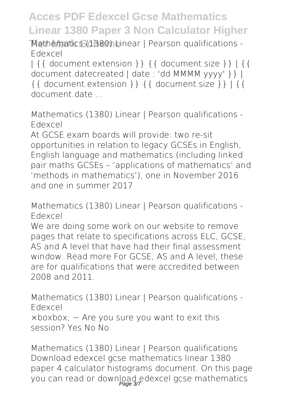**Tier Mark Scheme** *Mathematics (1380) Linear | Pearson qualifications - Edexcel*

| {{ document.extension }} {{ document.size }} | {{ document.datecreated | date : 'dd MMMM yyyy' }} | {{ document.extension }} {{ document.size }} | {{ document.date ...

*Mathematics (1380) Linear | Pearson qualifications - Edexcel*

At GCSE exam boards will provide: two re-sit opportunities in relation to legacy GCSEs in English, English language and mathematics (including linked pair maths GCSEs – 'applications of mathematics' and 'methods in mathematics'), one in November 2016 and one in summer 2017

*Mathematics (1380) Linear | Pearson qualifications - Edexcel*

We are doing some work on our website to remove pages that relate to specifications across ELC, GCSE, AS and A level that have had their final assessment window. Read more For GCSE, AS and A level, these are for qualifications that were accredited between 2008 and 2011.

*Mathematics (1380) Linear | Pearson qualifications - Edexcel* ×boxbox; − Are you sure you want to exit this session? Yes No No

*Mathematics (1380) Linear | Pearson qualifications* Download edexcel gcse mathematics linear 1380 paper 4 calculator histograms document. On this page you can read or download edexcel gcse mathematics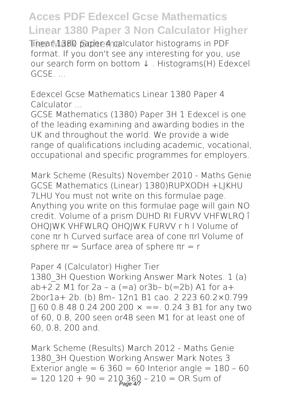**Tinear 1380 paper 4 calculator histograms in PDF** format. If you don't see any interesting for you, use our search form on bottom ↓ . Histograms(H) Edexcel GCSE. ...

*Edexcel Gcse Mathematics Linear 1380 Paper 4 Calculator ...*

GCSE Mathematics (1380) Paper 3H 1 Edexcel is one of the leading examining and awarding bodies in the UK and throughout the world. We provide a wide range of qualifications including academic, vocational, occupational and specific programmes for employers.

*Mark Scheme (Results) November 2010 - Maths Genie* GCSE Mathematics (Linear) 1380)RUPXODH +LJKHU 7LHU You must not write on this formulae page. Anything you write on this formulae page will gain NO credit. Volume of a prism DUHD RI FURVV VHFWLRQ î OHQJWK VHFWLRQ OHQJWK FURVV r h l Volume of cone πr h Curved surface area of cone πrl Volume of sphere  $πr = Surface area of sphere  $πr = r$$ 

*Paper 4 (Calculator) Higher Tier* 1380 3H Question Working Answer Mark Notes. 1 (a)  $ab+2$  2 M1 for 2a - a  $(=a)$  or3b- b $(=2b)$  A1 for a+ 2bor1a+ 2b. (b) 8m– 12n1 B1 cao. 2 223 60.2×0.799  $\Box$  60 0.8 48 0.24 200 200  $\times$  ==. 0.24 3 B1 for any two of 60, 0.8, 200 seen or48 seen M1 for at least one of 60, 0.8, 200 and.

*Mark Scheme (Results) March 2012 - Maths Genie* 1380 3H Question Working Answer Mark Notes 3 Exterior angle =  $6360 = 60$  Interior angle =  $180 - 60$  $= 120 120 + 90 = 210360 - 210 = \text{OR}$  Sum of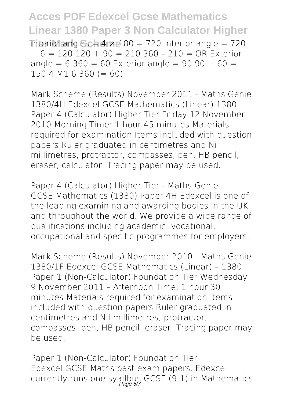**Acces PDF Edexcel Gcse Mathematics Linear 1380 Paper 3 Non Calculator Higher**  $\text{interior angles} = 4 \times 180 = 720 \text{ Interior angle} = 720$  $\div$  6 = 120 120 + 90 = 210 360 - 210 = OR Exterior angle =  $6\,360 = 60$  Exterior angle =  $90\,90 + 60 =$  $1504 M16 360 (= 60)$ 

*Mark Scheme (Results) November 2011 - Maths Genie* 1380/4H Edexcel GCSE Mathematics (Linear) 1380 Paper 4 (Calculator) Higher Tier Friday 12 November 2010 Morning Time: 1 hour 45 minutes Materials required for examination Items included with question papers Ruler graduated in centimetres and Nil millimetres, protractor, compasses, pen, HB pencil, eraser, calculator. Tracing paper may be used.

*Paper 4 (Calculator) Higher Tier - Maths Genie* GCSE Mathematics (1380) Paper 4H Edexcel is one of the leading examining and awarding bodies in the UK and throughout the world. We provide a wide range of qualifications including academic, vocational, occupational and specific programmes for employers.

*Mark Scheme (Results) November 2010 - Maths Genie* 1380/1F Edexcel GCSE Mathematics (Linear) – 1380 Paper 1 (Non-Calculator) Foundation Tier Wednesday 9 November 2011 – Afternoon Time: 1 hour 30 minutes Materials required for examination Items included with question papers Ruler graduated in centimetres and Nil millimetres, protractor, compasses, pen, HB pencil, eraser. Tracing paper may be used.

*Paper 1 (Non-Calculator) Foundation Tier* Edexcel GCSE Maths past exam papers. Edexcel currently runs one syallbus GCSE (9-1) in Mathematics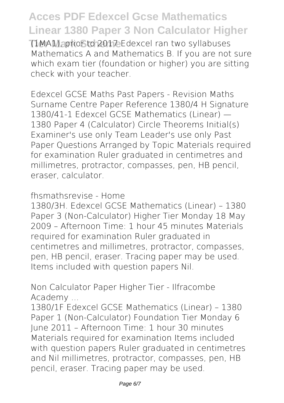**Tima1), prior to 2017 Edexcel ran two syllabuses** Mathematics A and Mathematics B. If you are not sure which exam tier (foundation or higher) you are sitting check with your teacher.

*Edexcel GCSE Maths Past Papers - Revision Maths* Surname Centre Paper Reference 1380/4 H Signature 1380/41-1 Edexcel GCSE Mathematics (Linear) — 1380 Paper 4 (Calculator) Circle Theorems Initial(s) Examiner's use only Team Leader's use only Past Paper Questions Arranged by Topic Materials required for examination Ruler graduated in centimetres and millimetres, protractor, compasses, pen, HB pencil, eraser, calculator.

*fhsmathsrevise - Home*

1380/3H. Edexcel GCSE Mathematics (Linear) – 1380 Paper 3 (Non-Calculator) Higher Tier Monday 18 May 2009 – Afternoon Time: 1 hour 45 minutes Materials required for examination Ruler graduated in centimetres and millimetres, protractor, compasses, pen, HB pencil, eraser. Tracing paper may be used. Items included with question papers Nil.

*Non Calculator Paper Higher Tier - Ilfracombe Academy ...*

1380/1F Edexcel GCSE Mathematics (Linear) – 1380 Paper 1 (Non-Calculator) Foundation Tier Monday 6 June 2011 – Afternoon Time: 1 hour 30 minutes Materials required for examination Items included with question papers Ruler graduated in centimetres and Nil millimetres, protractor, compasses, pen, HB pencil, eraser. Tracing paper may be used.